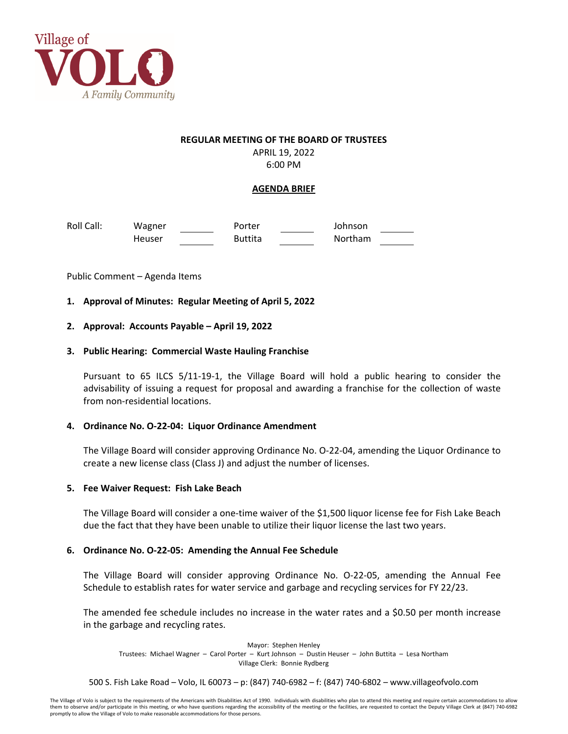

#### **REGULAR MEETING OF THE BOARD OF TRUSTEES**

APRIL 19, 2022 6:00 PM

# **AGENDA BRIEF**

Roll Call: Wagner Porter Johnson Heuser Buttita Northam

Public Comment – Agenda Items

## **1. Approval of Minutes: Regular Meeting of April 5, 2022**

## **2. Approval: Accounts Payable – April 19, 2022**

## **3. Public Hearing: Commercial Waste Hauling Franchise**

Pursuant to 65 ILCS 5/11‐19‐1, the Village Board will hold a public hearing to consider the advisability of issuing a request for proposal and awarding a franchise for the collection of waste from non‐residential locations.

## **4. Ordinance No. O‐22‐04: Liquor Ordinance Amendment**

The Village Board will consider approving Ordinance No. O‐22‐04, amending the Liquor Ordinance to create a new license class (Class J) and adjust the number of licenses.

## **5. Fee Waiver Request: Fish Lake Beach**

The Village Board will consider a one‐time waiver of the \$1,500 liquor license fee for Fish Lake Beach due the fact that they have been unable to utilize their liquor license the last two years.

## **6. Ordinance No. O‐22‐05: Amending the Annual Fee Schedule**

The Village Board will consider approving Ordinance No. O‐22‐05, amending the Annual Fee Schedule to establish rates for water service and garbage and recycling services for FY 22/23.

The amended fee schedule includes no increase in the water rates and a \$0.50 per month increase in the garbage and recycling rates.

Mayor: Stephen Henley Trustees: Michael Wagner – Carol Porter – Kurt Johnson – Dustin Heuser – John Buttita – Lesa Northam Village Clerk: Bonnie Rydberg

500 S. Fish Lake Road – Volo, IL 60073 – p: (847) 740‐6982 – f: (847) 740‐6802 – www.villageofvolo.com